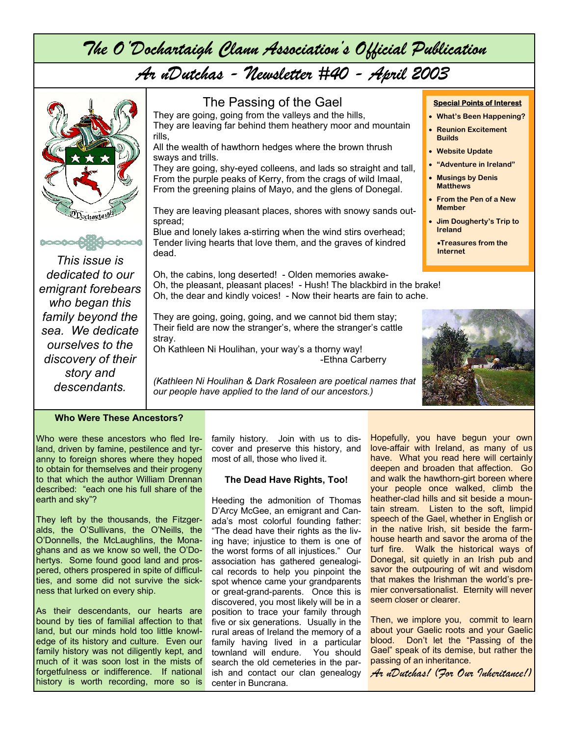*The O'Dochartaigh Clann Association's Official Publication* 

# *Ar nDutchas - Newsletter #40 - April 2003*



Who were these ancestors who fled Ireland, driven by famine, pestilence and tyranny to foreign shores where they hoped to obtain for themselves and their progeny to that which the author William Drennan described: "each one his full share of the earth and sky"?

They left by the thousands, the Fitzgeralds, the O'Sullivans, the O'Neills, the O'Donnells, the McLaughlins, the Monaghans and as we know so well, the O'Dohertys. Some found good land and prospered, others prospered in spite of difficulties, and some did not survive the sickness that lurked on every ship.

As their descendants, our hearts are bound by ties of familial affection to that land, but our minds hold too little knowledge of its history and culture. Even our family history was not diligently kept, and much of it was soon lost in the mists of forgetfulness or indifference. If national history is worth recording, more so is

family history. Join with us to discover and preserve this history, and most of all, those who lived it.

#### **The Dead Have Rights, Too!**

Heeding the admonition of Thomas D'Arcy McGee, an emigrant and Canada's most colorful founding father: "The dead have their rights as the living have; injustice to them is one of the worst forms of all injustices." Our association has gathered genealogical records to help you pinpoint the spot whence came your grandparents or great-grand-parents. Once this is discovered, you most likely will be in a position to trace your family through five or six generations. Usually in the rural areas of Ireland the memory of a family having lived in a particular townland will endure. You should search the old cemeteries in the parish and contact our clan genealogy center in Buncrana.

Hopefully, you have begun your own love-affair with Ireland, as many of us have. What you read here will certainly deepen and broaden that affection. Go and walk the hawthorn-girt boreen where your people once walked, climb the heather-clad hills and sit beside a mountain stream. Listen to the soft, limpid speech of the Gael, whether in English or in the native Irish, sit beside the farmhouse hearth and savor the aroma of the turf fire. Walk the historical ways of Donegal, sit quietly in an Irish pub and savor the outpouring of wit and wisdom that makes the Irishman the world's premier conversationalist. Eternity will never seem closer or clearer.

Then, we implore you, commit to learn about your Gaelic roots and your Gaelic blood. Don't let the "Passing of the Gael" speak of its demise, but rather the passing of an inheritance.

*Ar nDutchas! (For Our Inheritance!)*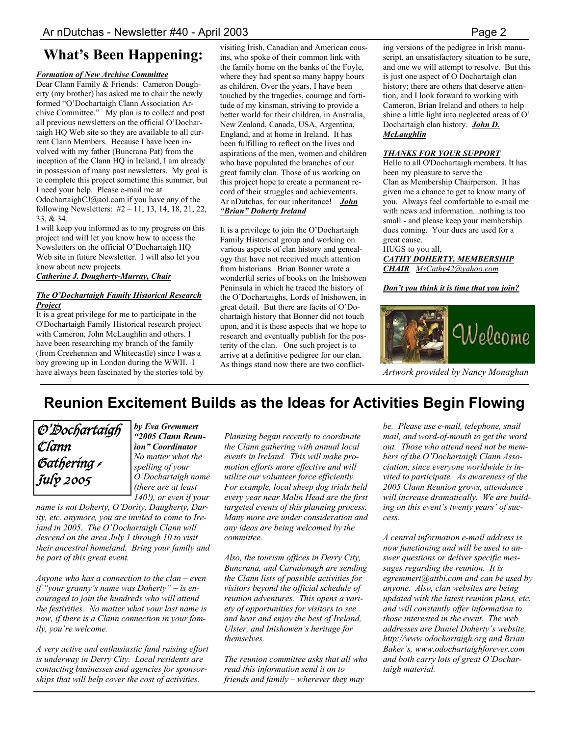# **What's Been Happening:**

#### *Formation of New Archive Committee*

Dear Clann Family & Friends: Cameron Dougherty (my brother) has asked me to chair the newly formed "O'Dochartaigh Clann Association Archive Committee." My plan is to collect and post all previous newsletters on the official O'Dochartaigh HQ Web site so they are available to all current Clann Members. Because I have been involved with my father (Buncrana Pat) from the inception of the Clann HQ in Ireland, I am already in possession of many past newsletters. My goal is to complete this project sometime this summer, but I need your help. Please e-mail me at OdochartaighCJ@aol.com if you have any of the following Newsletters: #2 – 11, 13, 14, 18, 21, 22, 33, & 34.

I will keep you informed as to my progress on this project and will let you know how to access the Newsletters on the official O'Dochartaigh HQ Web site in future Newsletter. I will also let you know about new projects.

*Catherine J. Dougherty-Murray, Chair*

#### *The O'Dochartaigh Family Historical Research Project*

It is a great privilege for me to participate in the O'Dochartaigh Family Historical research project with Cameron, John McLaughlin and others. I have been researching my branch of the family (from Creehennan and Whitecastle) since I was a boy growing up in London during the WWII. I have always been fascinated by the stories told by visiting Irish, Canadian and American cousins, who spoke of their common link with the family home on the banks of the Foyle, where they had spent so many happy hours as children. Over the years, I have been touched by the tragedies, courage and fortitude of my kinsman, striving to provide a better world for their children, in Australia, New Zealand, Canada, USA, Argentina, England, and at home in Ireland. It has been fulfilling to reflect on the lives and aspirations of the men, women and children who have populated the branches of our great family clan. Those of us working on this project hope to create a permanent record of their struggles and achievements. Ar nDutchas, for our inheritance! *John "Brian" Doherty Ireland*

It is a privilege to join the O'Dochartaigh Family Historical group and working on various aspects of clan history and genealogy that have not received much attention from historians. Brian Bonner wrote a wonderful series of books on the Inishowen Peninsula in which he traced the history of the O'Dochartaighs, Lords of Inishowen, in great detail. But there are facits of O'Dochartaigh history that Bonner did not touch upon, and it is these aspects that we hope to research and eventually publish for the posterity of the clan. One such project is to arrive at a definitive pedigree for our clan. As things stand now there are two conflicting versions of the pedigree in Irish manuscript, an unsatisfactory situation to be sure, and one we will attempt to resolve. But this is just one aspect of O Dochartaigh clan history; there are others that deserve attention, and I look forward to working with Cameron, Brian Ireland and others to help shine a little light into neglected areas of O' Dochartaigh clan history. *John D. McLaughlin*

#### *THANKS FOR YOUR SUPPORT*

Hello to all O'Dochartaigh members. It has been my pleasure to serve the Clan as Membership Chairperson. It has given me a chance to get to know many of you. Always feel comfortable to e-mail me with news and information...nothing is too small - and please keep your membership dues coming. Your dues are used for a great cause.

HUGS to you all, *CATHY DOHERTY, MEMBERSHIP CHAIR MsCathy42@yahoo.com*

*Don't you think it is time that you join?* 



*Artwork provided by Nancy Monaghan* 

# **Reunion Excitement Builds as the Ideas for Activities Begin Flowing**



*by Eva Gremmert "2005 Clann Reunion" Coordinator No matter what the spelling of your O'Dochartaigh name (there are at least 140!), or even if your* 

*name is not Doherty, O'Dority, Daugherty, Darity, etc. anymore, you are invited to come to Ireland in 2005. The O'Dochartaigh Clann will descend on the area July 1 through 10 to visit their ancestral homeland. Bring your family and be part of this great event.* 

*Anyone who has a connection to the clan – even if "your granny's name was Doherty" – is encouraged to join the hundreds who will attend the festivities. No matter what your last name is now, if there is a Clann connection in your family, you're welcome.* 

*A very active and enthusiastic fund raising effort is underway in Derry City. Local residents are contacting businesses and agencies for sponsorships that will help cover the cost of activities.* 

*Planning began recently to coordinate the Clann gathering with annual local events in Ireland. This will make promotion efforts more effective and will utilize our volunteer force efficiently. For example, local sheep dog trials held every year near Malin Head are the first targeted events of this planning process. Many more are under consideration and any ideas are being welcomed by the committee.* 

*Also, the tourism offices in Derry City, Buncrana, and Carndonagh are sending the Clann lists of possible activities for visitors beyond the official schedule of reunion adventures. This opens a variety of opportunities for visitors to see and hear and enjoy the best of Ireland, Ulster, and Inishowen's heritage for themselves.* 

*The reunion committee asks that all who read this information send it on to friends and family – wherever they may* 

*be. Please use e-mail, telephone, snail mail, and word-of-mouth to get the word out. Those who attend need not be members of the O'Dochartaigh Clann Association, since everyone worldwide is invited to participate. As awareness of the 2005 Clann Reunion grows, attendance will increase dramatically. We are building on this event's twenty years' of success.* 

*A central information e-mail address is now functioning and will be used to answer questions or deliver specific messages regarding the reunion. It is egremmert@attbi.com and can be used by anyone. Also, clan websites are being updated with the latest reunion plans, etc. and will constantly offer information to those interested in the event. The web addresses are Daniel Doherty's website, http://www.odochartaigh.org and Brian Baker's, www.odochartaighforever.com and both carry lots of great O'Dochartaigh material.*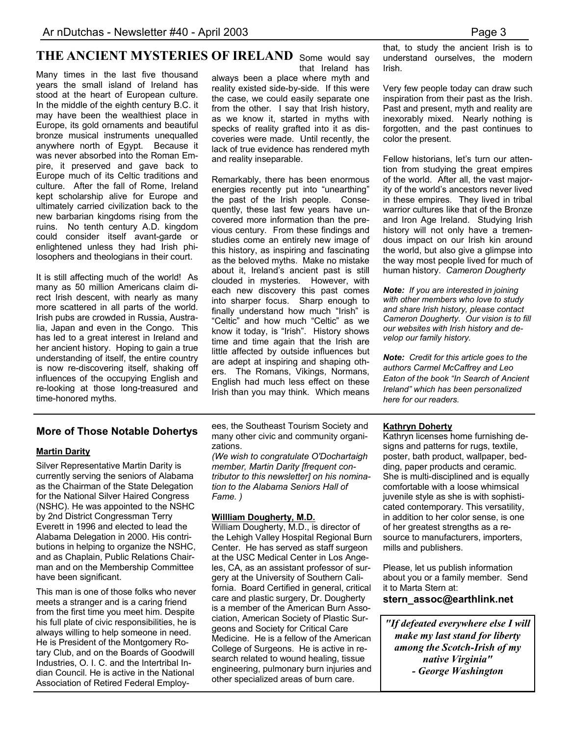# THE ANCIENT MYSTERIES OF IRELAND Some would say

Many times in the last five thousand years the small island of Ireland has stood at the heart of European culture. In the middle of the eighth century B.C. it may have been the wealthiest place in Europe, its gold ornaments and beautiful bronze musical instruments unequalled anywhere north of Egypt. Because it was never absorbed into the Roman Empire, it preserved and gave back to Europe much of its Celtic traditions and culture. After the fall of Rome, Ireland kept scholarship alive for Europe and ultimately carried civilization back to the new barbarian kingdoms rising from the ruins. No tenth century A.D. kingdom could consider itself avant-garde or enlightened unless they had Irish philosophers and theologians in their court.

It is still affecting much of the world! As many as 50 million Americans claim direct Irish descent, with nearly as many more scattered in all parts of the world. Irish pubs are crowded in Russia, Australia, Japan and even in the Congo. This has led to a great interest in Ireland and her ancient history. Hoping to gain a true understanding of itself, the entire country is now re-discovering itself, shaking off influences of the occupying English and re-looking at those long-treasured and time-honored myths.

that Ireland has

always been a place where myth and reality existed side-by-side. If this were the case, we could easily separate one from the other. I say that Irish history, as we know it, started in myths with specks of reality grafted into it as discoveries were made. Until recently, the lack of true evidence has rendered myth and reality inseparable.

Remarkably, there has been enormous energies recently put into "unearthing" the past of the Irish people. Consequently, these last few years have uncovered more information than the previous century. From these findings and studies come an entirely new image of this history, as inspiring and fascinating as the beloved myths. Make no mistake about it, Ireland's ancient past is still clouded in mysteries. However, with each new discovery this past comes into sharper focus. Sharp enough to finally understand how much "Irish" is "Celtic" and how much "Celtic" as we know it today, is "Irish". History shows time and time again that the Irish are little affected by outside influences but are adept at inspiring and shaping others. The Romans, Vikings, Normans, English had much less effect on these Irish than you may think. Which means that, to study the ancient Irish is to understand ourselves, the modern Irish.

Very few people today can draw such inspiration from their past as the Irish. Past and present, myth and reality are inexorably mixed. Nearly nothing is forgotten, and the past continues to color the present.

Fellow historians, let's turn our attention from studying the great empires of the world. After all, the vast majority of the world's ancestors never lived in these empires. They lived in tribal warrior cultures like that of the Bronze and Iron Age Ireland. Studying Irish history will not only have a tremendous impact on our Irish kin around the world, but also give a glimpse into the way most people lived for much of human history. *Cameron Dougherty*

*Note: If you are interested in joining with other members who love to study and share Irish history, please contact Cameron Dougherty. Our vision is to fill our websites with Irish history and develop our family history.* 

*Note: Credit for this article goes to the authors Carmel McCaffrey and Leo Eaton of the book "In Search of Ancient Ireland" which has been personalized here for our readers.* 

### **Martin Darity**

Silver Representative Martin Darity is currently serving the seniors of Alabama as the Chairman of the State Delegation for the National Silver Haired Congress (NSHC). He was appointed to the NSHC by 2nd District Congressman Terry Everett in 1996 and elected to lead the Alabama Delegation in 2000. His contributions in helping to organize the NSHC, and as Chaplain, Public Relations Chairman and on the Membership Committee have been significant.

This man is one of those folks who never meets a stranger and is a caring friend from the first time you meet him. Despite his full plate of civic responsibilities, he is always willing to help someone in need. He is President of the Montgomery Rotary Club, and on the Boards of Goodwill Industries, O. I. C. and the Intertribal Indian Council. He is active in the National Association of Retired Federal Employ-

**More of Those Notable Dohertys bestime Southeast Tourism Society and Kathryn Doherty**<br>More of Those Notable Dohertys *Kethryn ligeness* ees, the Southeast Tourism Society and many other civic and community organizations.

*(We wish to congratulate O'Dochartaigh member, Martin Darity [frequent contributor to this newsletter] on his nomination to the Alabama Seniors Hall of Fame. )* 

#### **Willliam Dougherty, M.D.**

William Dougherty, M.D., is director of the Lehigh Valley Hospital Regional Burn Center. He has served as staff surgeon at the USC Medical Center in Los Angeles, CA, as an assistant professor of surgery at the University of Southern California. Board Certified in general, critical care and plastic surgery, Dr. Dougherty is a member of the American Burn Association, American Society of Plastic Surgeons and Society for Critical Care Medicine. He is a fellow of the American College of Surgeons. He is active in research related to wound healing, tissue engineering, pulmonary burn injuries and other specialized areas of burn care.

Kathryn licenses home furnishing designs and patterns for rugs, textile, poster, bath product, wallpaper, bedding, paper products and ceramic. She is multi-disciplined and is equally comfortable with a loose whimsical juvenile style as she is with sophisticated contemporary. This versatility, in addition to her color sense, is one of her greatest strengths as a resource to manufacturers, importers, mills and publishers.

Please, let us publish information about you or a family member. Send it to Marta Stern at:

#### **stern\_assoc@earthlink.net**

*"If defeated everywhere else I will make my last stand for liberty among the Scotch-Irish of my native Virginia" - George Washington*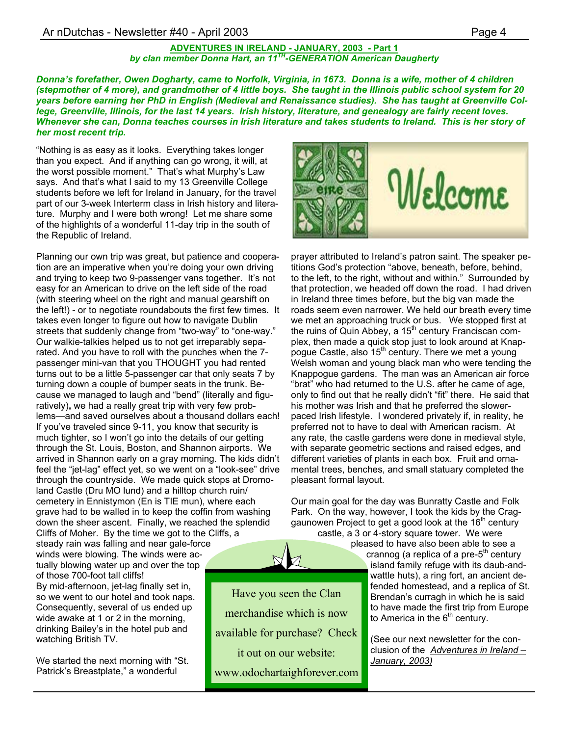### Ar nDutchas - Newsletter #40 - April 2003 **Page 4** Page 4

#### **ADVENTURES IN IRELAND - JANUARY, 2003 - Part 1** *by clan member Donna Hart, an 11TH-GENERATION American Daugherty*

*Donna's forefather, Owen Dogharty, came to Norfolk, Virginia, in 1673. Donna is a wife, mother of 4 children (stepmother of 4 more), and grandmother of 4 little boys. She taught in the Illinois public school system for 20 years before earning her PhD in English (Medieval and Renaissance studies). She has taught at Greenville College, Greenville, Illinois, for the last 14 years. Irish history, literature, and genealogy are fairly recent loves. Whenever she can, Donna teaches courses in Irish literature and takes students to Ireland. This is her story of her most recent trip.* 

"Nothing is as easy as it looks. Everything takes longer than you expect. And if anything can go wrong, it will, at the worst possible moment." That's what Murphy's Law says. And that's what I said to my 13 Greenville College students before we left for Ireland in January, for the travel part of our 3-week Interterm class in Irish history and literature. Murphy and I were both wrong! Let me share some of the highlights of a wonderful 11-day trip in the south of the Republic of Ireland.

Planning our own trip was great, but patience and cooperation are an imperative when you're doing your own driving and trying to keep two 9-passenger vans together. It's not easy for an American to drive on the left side of the road (with steering wheel on the right and manual gearshift on the left!) - or to negotiate roundabouts the first few times. It takes even longer to figure out how to navigate Dublin streets that suddenly change from "two-way" to "one-way." Our walkie-talkies helped us to not get irreparably separated. And you have to roll with the punches when the 7 passenger mini-van that you THOUGHT you had rented turns out to be a little 5-passenger car that only seats 7 by turning down a couple of bumper seats in the trunk. Because we managed to laugh and "bend" (literally and figuratively)**,** we had a really great trip with very few problems—and saved ourselves about a thousand dollars each! If you've traveled since 9-11, you know that security is much tighter, so I won't go into the details of our getting through the St. Louis, Boston, and Shannon airports. We arrived in Shannon early on a gray morning. The kids didn't feel the "jet-lag" effect yet, so we went on a "look-see" drive through the countryside. We made quick stops at Dromoland Castle (Dru MO lund) and a hilltop church ruin/ cemetery in Ennistymon (En is TIE mun), where each grave had to be walled in to keep the coffin from washing down the sheer ascent. Finally, we reached the splendid

Cliffs of Moher. By the time we got to the Cliffs, a steady rain was falling and near gale-force winds were blowing. The winds were actually blowing water up and over the top of those 700-foot tall cliffs! By mid-afternoon, jet-lag finally set in, so we went to our hotel and took naps. Consequently, several of us ended up wide awake at 1 or 2 in the morning, drinking Bailey's in the hotel pub and watching British TV.

We started the next morning with "St. Patrick's Breastplate," a wonderful

Welcome

prayer attributed to Ireland's patron saint. The speaker petitions God's protection "above, beneath, before, behind, to the left, to the right, without and within." Surrounded by that protection, we headed off down the road. I had driven in Ireland three times before, but the big van made the roads seem even narrower. We held our breath every time we met an approaching truck or bus. We stopped first at the ruins of Quin Abbey, a  $15<sup>th</sup>$  century Franciscan complex, then made a quick stop just to look around at Knappogue Castle, also 15<sup>th</sup> century. There we met a young Welsh woman and young black man who were tending the Knappogue gardens. The man was an American air force "brat" who had returned to the U.S. after he came of age, only to find out that he really didn't "fit" there. He said that his mother was Irish and that he preferred the slowerpaced Irish lifestyle. I wondered privately if, in reality, he preferred not to have to deal with American racism. At any rate, the castle gardens were done in medieval style, with separate geometric sections and raised edges, and different varieties of plants in each box. Fruit and ornamental trees, benches, and small statuary completed the pleasant formal layout.

Our main goal for the day was Bunratty Castle and Folk Park. On the way, however, I took the kids by the Craggaunowen Project to get a good look at the  $16<sup>th</sup>$  century

castle, a 3 or 4-story square tower. We were pleased to have also been able to see a

crannog (a replica of a pre- $5<sup>th</sup>$  century island family refuge with its daub-andwattle huts), a ring fort, an ancient defended homestead, and a replica of St. Brendan's curragh in which he is said to have made the first trip from Europe to America in the  $6<sup>th</sup>$  century.

(See our next newsletter for the conclusion of the *Adventures in Ireland – January, 2003)*

Have you seen the Clan merchandise which is now available for purchase? Check it out on our website: www.odochartaighforever.com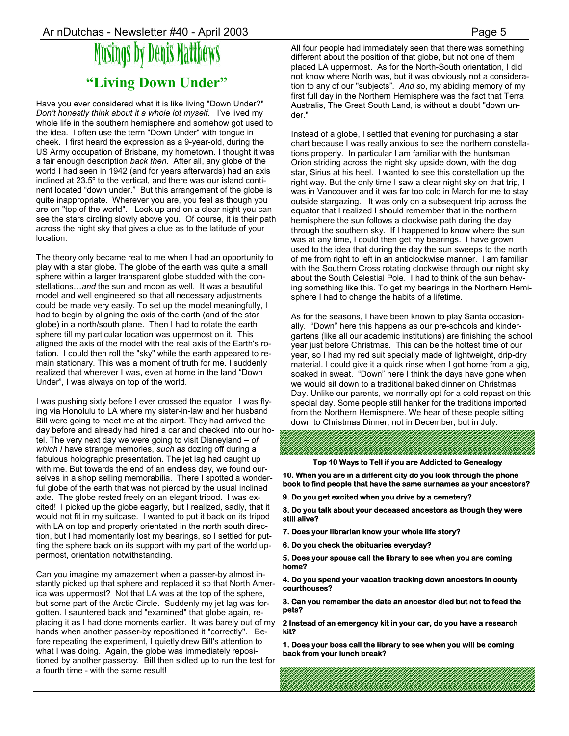# Musings by Denis Matthews **"Living Down Under"**

Have you ever considered what it is like living "Down Under?" *Don't honestly think about it a whole lot myself.* I've lived my whole life in the southern hemisphere and somehow got used to the idea. I often use the term "Down Under" with tongue in cheek. I first heard the expression as a 9-year-old, during the US Army occupation of Brisbane, my hometown. I thought it was a fair enough description *back then*. After all, any globe of the world I had seen in 1942 (and for years afterwards) had an axis inclined at 23.5º to the vertical, and there was our island continent located "down under." But this arrangement of the globe is quite inappropriate. Wherever you are, you feel as though you are on "top of the world". Look up and on a clear night you can see the stars circling slowly above you. Of course, it is their path across the night sky that gives a clue as to the latitude of your location.

The theory only became real to me when I had an opportunity to play with a star globe. The globe of the earth was quite a small sphere within a larger transparent globe studded with the constellations…*and* the sun and moon as well. It was a beautiful model and well engineered so that all necessary adjustments could be made very easily. To set up the model meaningfully, I had to begin by aligning the axis of the earth (and of the star globe) in a north/south plane. Then I had to rotate the earth sphere till my particular location was uppermost on it. This aligned the axis of the model with the real axis of the Earth's rotation. I could then roll the "sky" while the earth appeared to remain stationary. This was a moment of truth for me. I suddenly realized that wherever I was, even at home in the land "Down Under", I was always on top of the world.

I was pushing sixty before I ever crossed the equator. I was flying via Honolulu to LA where my sister-in-law and her husband Bill were going to meet me at the airport. They had arrived the day before and already had hired a car and checked into our hotel. The very next day we were going to visit Disneyland – *of which I* have strange memories, *such as* dozing off during a fabulous holographic presentation. The jet lag had caught up with me. But towards the end of an endless day, we found ourselves in a shop selling memorabilia. There I spotted a wonderful globe of the earth that was not pierced by the usual inclined axle. The globe rested freely on an elegant tripod. I was excited! I picked up the globe eagerly, but I realized, sadly, that it would not fit in my suitcase. I wanted to put it back on its tripod with LA on top and properly orientated in the north south direction, but I had momentarily lost my bearings, so I settled for putting the sphere back on its support with my part of the world uppermost, orientation notwithstanding.

Can you imagine my amazement when a passer-by almost instantly picked up that sphere and replaced it so that North America was uppermost? Not that LA was at the top of the sphere, but some part of the Arctic Circle. Suddenly my jet lag was forgotten. I sauntered back and "examined" that globe again, replacing it as I had done moments earlier. It was barely out of my hands when another passer-by repositioned it "correctly". Before repeating the experiment, I quietly drew Bill's attention to what I was doing. Again, the globe was immediately repositioned by another passerby*.* Bill then sidled up to run the test for a fourth time - with the same result!

All four people had immediately seen that there was something different about the position of that globe, but not one of them placed LA uppermost. As for the North-South orientation, I did not know where North was, but it was obviously not a consideration to any of our "subjects". *And s*o, my abiding memory of my first full day in the Northern Hemisphere was the fact that Terra Australis, The Great South Land, is without a doubt "down under."

Instead of a globe, I settled that evening for purchasing a star chart because I was really anxious to see the northern constellations properly. In particular I am familiar with the huntsman Orion striding across the night sky upside down, with the dog star, Sirius at his heel. I wanted to see this constellation up the right way. But the only time I saw a clear night sky on that trip, I was in Vancouver and it was far too cold in March for me to stay outside stargazing. It was only on a subsequent trip across the equator that I realized I should remember that in the northern hemisphere the sun follows a clockwise path during the day through the southern sky. If I happened to know where the sun was at any time, I could then get my bearings. I have grown used to the idea that during the day the sun sweeps to the north of me from right to left in an anticlockwise manner. I am familiar with the Southern Cross rotating clockwise through our night sky about the South Celestial Pole. I had to think of the sun behaving something like this. To get my bearings in the Northern Hemisphere I had to change the habits of a lifetime.

As for the seasons, I have been known to play Santa occasionally. "Down" here this happens as our pre-schools and kindergartens (like all our academic institutions) are finishing the school year just before Christmas. This can be the hottest time of our year, so I had my red suit specially made of lightweight, drip-dry material. I could give it a quick rinse when I got home from a gig, soaked in sweat. "Down" here I think the days have gone when we would sit down to a traditional baked dinner on Christmas Day. Unlike our parents, we normally opt for a cold repast on this special day. Some people still hanker for the traditions imported from the Northern Hemisphere. We hear of these people sitting down to Christmas Dinner, not in December, but in July.

#### **Top 10 Ways to Tell if you are Addicted to Genealogy**

**10. When you are in a different city do you look through the phone book to find people that have the same surnames as your ancestors?** 

**9. Do you get excited when you drive by a cemetery?** 

**8. Do you talk about your deceased ancestors as though they were still alive?** 

- **7. Does your librarian know your whole life story?**
- **6. Do you check the obituaries everyday?**

**5. Does your spouse call the library to see when you are coming home?** 

**4. Do you spend your vacation tracking down ancestors in county courthouses?** 

**3. Can you remember the date an ancestor died but not to feed the pets?** 

**2 Instead of an emergency kit in your car, do you have a research kit?** 

**1. Does your boss call the library to see when you will be coming back from your lunch break?**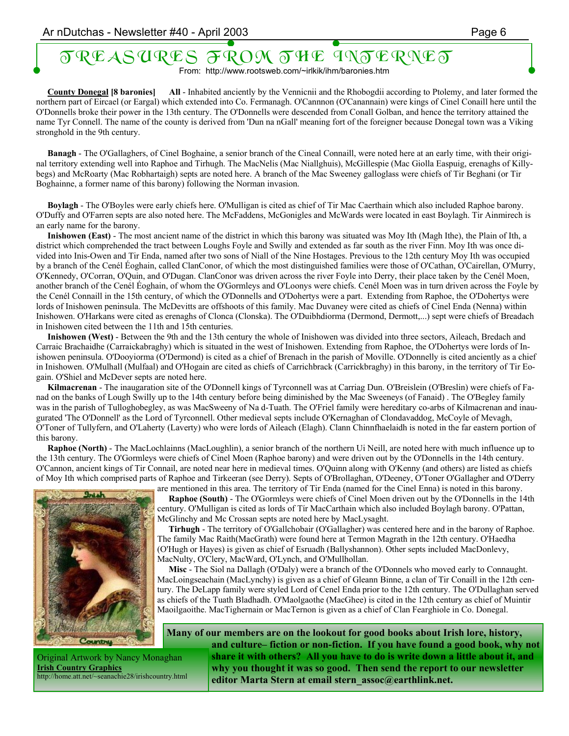# TREASURES FROM THE INTERNET

From: http://www.rootsweb.com/~irlkik/ihm/baronies.htm

 **County Donegal [8 baronies] All** - Inhabited anciently by the Vennicnii and the Rhobogdii according to Ptolemy, and later formed the northern part of Eircael (or Eargal) which extended into Co. Fermanagh. O'Cannnon (O'Canannain) were kings of Cinel Conaill here until the O'Donnells broke their power in the 13th century. The O'Donnells were descended from Conall Golban, and hence the territory attained the name Tyr Connell. The name of the county is derived from 'Dun na nGall' meaning fort of the foreigner because Donegal town was a Viking stronghold in the 9th century.

 **Banagh** - The O'Gallaghers, of Cinel Boghaine, a senior branch of the Cineal Connaill, were noted here at an early time, with their original territory extending well into Raphoe and Tirhugh. The MacNelis (Mac Niallghuis), McGillespie (Mac Giolla Easpuig, erenaghs of Killybegs) and McRoarty (Mac Robhartaigh) septs are noted here. A branch of the Mac Sweeney galloglass were chiefs of Tir Beghani (or Tir Boghainne, a former name of this barony) following the Norman invasion.

 **Boylagh** - The O'Boyles were early chiefs here. O'Mulligan is cited as chief of Tir Mac Caerthain which also included Raphoe barony. O'Duffy and O'Farren septs are also noted here. The McFaddens, McGonigles and McWards were located in east Boylagh. Tir Ainmirech is an early name for the barony.

 **Inishowen (East)** - The most ancient name of the district in which this barony was situated was Moy Ith (Magh Ithe), the Plain of Ith, a district which comprehended the tract between Loughs Foyle and Swilly and extended as far south as the river Finn. Moy Ith was once divided into Inis-Owen and Tir Enda, named after two sons of Niall of the Nine Hostages. Previous to the 12th century Moy Ith was occupied by a branch of the Cenél Éoghain, called ClanConor, of which the most distinguished families were those of O'Cathan, O'Cairellan, O'Murry, O'Kennedy, O'Corran, O'Quin, and O'Dugan. ClanConor was driven across the river Foyle into Derry, their place taken by the Cenél Moen, another branch of the Cenél Éoghain, of whom the O'Gormleys and O'Loonys were chiefs. Cenél Moen was in turn driven across the Foyle by the Cenél Connaill in the 15th century, of which the O'Donnells and O'Dohertys were a part. Extending from Raphoe, the O'Dohertys were lords of Inishowen peninsula. The McDevitts are offshoots of this family. Mac Duvaney were cited as chiefs of Cinel Enda (Nenna) within Inishowen. O'Harkans were cited as erenaghs of Clonca (Clonska). The O'Duibhdiorma (Dermond, Dermott,...) sept were chiefs of Breadach in Inishowen cited between the 11th and 15th centuries.

 **Inishowen (West)** - Between the 9th and the 13th century the whole of Inishowen was divided into three sectors, Aileach, Bredach and Carraic Brachaidhe (Carraickabraghy) which is situated in the west of Inishowen. Extending from Raphoe, the O'Dohertys were lords of Inishowen peninsula. O'Dooyiorma (O'Dermond) is cited as a chief of Brenach in the parish of Moville. O'Donnelly is cited anciently as a chief in Inishowen. O'Mulhall (Mulfaal) and O'Hogain are cited as chiefs of Carrichbrack (Carrickbraghy) in this barony, in the territory of Tir Eogain. O'Shiel and McDever septs are noted here.

 **Kilmacrenan** - The inaugaration site of the O'Donnell kings of Tyrconnell was at Carriag Dun. O'Breislein (O'Breslin) were chiefs of Fanad on the banks of Lough Swilly up to the 14th century before being diminished by the Mac Sweeneys (of Fanaid) . The O'Begley family was in the parish of Tulloghobegley, as was MacSweeny of Na d-Tuath. The O'Friel family were hereditary co-arbs of Kilmacrenan and inaugurated 'The O'Donnell' as the Lord of Tyrconnell. Other medieval septs include O'Kernaghan of Clondavaddog, McCoyle of Mevagh, O'Toner of Tullyfern, and O'Laherty (Laverty) who were lords of Aileach (Elagh). Clann Chinnfhaelaidh is noted in the far eastern portion of this barony.

 **Raphoe (North)** - The MacLochlainns (MacLoughlin), a senior branch of the northern Ui Neill, are noted here with much influence up to the 13th century. The O'Gormleys were chiefs of Cinel Moen (Raphoe barony) and were driven out by the O'Donnells in the 14th century. O'Cannon, ancient kings of Tir Connail, are noted near here in medieval times. O'Quinn along with O'Kenny (and others) are listed as chiefs of Moy Ith which comprised parts of Raphoe and Tirkeeran (see Derry). Septs of O'Brollaghan, O'Deeney, O'Toner O'Gallagher and O'Derry



Original Artwork by Nancy Monaghan **Irish Country Graphics** http://home.att.net/~seanachie28/irishcountry.html

are mentioned in this area. The territory of Tir Enda (named for the Cinel Enna) is noted in this barony. **Raphoe (South)** - The O'Gormleys were chiefs of Cinel Moen driven out by the O'Donnells in the 14th century. O'Mulligan is cited as lords of Tír MacCarthain which also included Boylagh barony. O'Pattan, McGlinchy and Mc Crossan septs are noted here by MacLysaght.

 **Tirhugh** - The territory of O'Gallchobair (O'Gallagher) was centered here and in the barony of Raphoe. The family Mac Raith(MacGrath) were found here at Termon Magrath in the 12th century. O'Haedha (O'Hugh or Hayes) is given as chief of Esruadh (Ballyshannon). Other septs included MacDonlevy, MacNulty, O'Clery, MacWard, O'Lynch, and O'Mullhollan.

 **Misc** - The Siol na Dallagh (O'Daly) were a branch of the O'Donnels who moved early to Connaught. MacLoingseachain (MacLynchy) is given as a chief of Gleann Binne, a clan of Tir Conaill in the 12th century. The DeLapp family were styled Lord of Cenel Enda prior to the 12th century. The O'Dullaghan served as chiefs of the Tuath Bladhadh. O'Maolgaothe (MacGhee) is cited in the 12th century as chief of Muintir Maoilgaoithe. MacTighernain or MacTernon is given as a chief of Clan Fearghiole in Co. Donegal.

**Many of our members are on the lookout for good books about Irish lore, history, and culture– fiction or non-fiction. If you have found a good book, why not share it with others? All you have to do is write down a little about it, and why you thought it was so good. Then send the report to our newsletter editor Marta Stern at email stern\_assoc@earthlink.net.**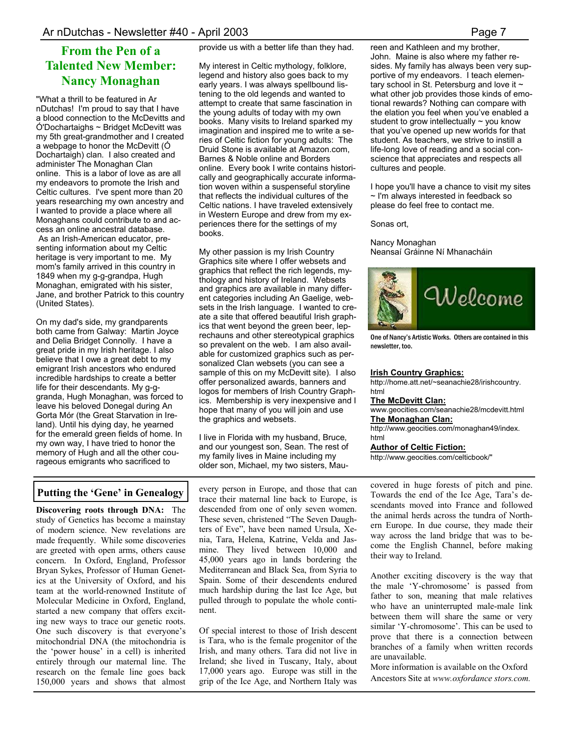## **From the Pen of a Talented New Member: Nancy Monaghan**

"What a thrill to be featured in Ar nDutchas! I'm proud to say that I have a blood connection to the McDevitts and Ó'Dochartaighs ~ Bridget McDevitt was my 5th great-grandmother and I created a webpage to honor the McDevitt (Ó Dochartaigh) clan. I also created and administer The Monaghan Clan online. This is a labor of love as are all my endeavors to promote the Irish and Celtic cultures. I've spent more than 20 years researching my own ancestry and I wanted to provide a place where all Monaghans could contribute to and access an online ancestral database. As an Irish-American educator, presenting information about my Celtic heritage is very important to me. My mom's family arrived in this country in 1849 when my g-g-grandpa, Hugh Monaghan, emigrated with his sister, Jane, and brother Patrick to this country (United States).

On my dad's side, my grandparents both came from Galway: Martin Joyce and Delia Bridget Connolly. I have a great pride in my Irish heritage. I also believe that I owe a great debt to my emigrant Irish ancestors who endured incredible hardships to create a better life for their descendants. My g-ggranda, Hugh Monaghan, was forced to leave his beloved Donegal during An Gorta Mór (the Great Starvation in Ireland). Until his dying day, he yearned for the emerald green fields of home. In my own way, I have tried to honor the memory of Hugh and all the other courageous emigrants who sacrificed to

provide us with a better life than they had.

My interest in Celtic mythology, folklore, legend and history also goes back to my early years. I was always spellbound listening to the old legends and wanted to attempt to create that same fascination in the young adults of today with my own books. Many visits to Ireland sparked my imagination and inspired me to write a series of Celtic fiction for young adults: The Druid Stone is available at Amazon.com, Barnes & Noble online and Borders online. Every book I write contains historically and geographically accurate information woven within a suspenseful storyline that reflects the individual cultures of the Celtic nations. I have traveled extensively in Western Europe and drew from my experiences there for the settings of my books.

My other passion is my Irish Country Graphics site where I offer websets and graphics that reflect the rich legends, mythology and history of Ireland. Websets and graphics are available in many different categories including An Gaelige, websets in the Irish language. I wanted to create a site that offered beautiful Irish graphics that went beyond the green beer, leprechauns and other stereotypical graphics so prevalent on the web. I am also available for customized graphics such as personalized Clan websets (you can see a sample of this on my McDevitt site). I also offer personalized awards, banners and logos for members of Irish Country Graphics. Membership is very inexpensive and I hope that many of you will join and use the graphics and websets.

I live in Florida with my husband, Bruce, and our youngest son, Sean. The rest of my family lives in Maine including my older son, Michael, my two sisters, Mau-

## **Putting the 'Gene' in Genealogy**

**Discovering roots through DNA:** The study of Genetics has become a mainstay of modern science. New revelations are made frequently. While some discoveries are greeted with open arms, others cause concern. In Oxford, England, Professor Bryan Sykes, Professor of Human Genetics at the University of Oxford, and his team at the world-renowned Institute of Molecular Medicine in Oxford, England, started a new company that offers exciting new ways to trace our genetic roots. One such discovery is that everyone's mitochondrial DNA (the mitochondria is the 'power house' in a cell) is inherited entirely through our maternal line. The research on the female line goes back 150,000 years and shows that almost

every person in Europe, and those that can trace their maternal line back to Europe, is descended from one of only seven women. These seven, christened "The Seven Daughters of Eve", have been named Ursula, Xenia, Tara, Helena, Katrine, Velda and Jasmine. They lived between 10,000 and 45,000 years ago in lands bordering the Mediterranean and Black Sea, from Syria to Spain. Some of their descendents endured much hardship during the last Ice Age, but pulled through to populate the whole continent.

Of special interest to those of Irish descent is Tara, who is the female progenitor of the Irish, and many others. Tara did not live in Ireland; she lived in Tuscany, Italy, about 17,000 years ago. Europe was still in the grip of the Ice Age, and Northern Italy was reen and Kathleen and my brother, John. Maine is also where my father resides. My family has always been very supportive of my endeavors. I teach elementary school in St. Petersburg and love it  $\sim$ what other job provides those kinds of emotional rewards? Nothing can compare with the elation you feel when you've enabled a student to grow intellectually  $\sim$  you know that you've opened up new worlds for that student. As teachers, we strive to instill a life-long love of reading and a social conscience that appreciates and respects all cultures and people.

I hope you'll have a chance to visit my sites ~ I'm always interested in feedback so please do feel free to contact me.

Sonas ort,

#### Nancy Monaghan Neansaí Gráinne Ní Mhanacháin



One of Nancy's Artistic Works. Others are contained in this newsletter, too.

#### **Irish Country Graphics:**

http://home.att.net/~seanachie28/irishcountry. html

#### **The McDevitt Clan:**

www.geocities.com/seanachie28/mcdevitt.html **The Monaghan Clan:**

http://www.geocities.com/monaghan49/index. html

#### **Author of Celtic Fiction:**

http://www.geocities.com/celticbook/"

covered in huge forests of pitch and pine. Towards the end of the Ice Age, Tara's descendants moved into France and followed the animal herds across the tundra of Northern Europe. In due course, they made their way across the land bridge that was to become the English Channel, before making their way to Ireland.

Another exciting discovery is the way that the male 'Y-chromosome' is passed from father to son, meaning that male relatives who have an uninterrupted male-male link between them will share the same or very similar 'Y-chromosome'. This can be used to prove that there is a connection between branches of a family when written records are unavailable.

More information is available on the Oxford Ancestors Site at *www.oxfordance stors.com.*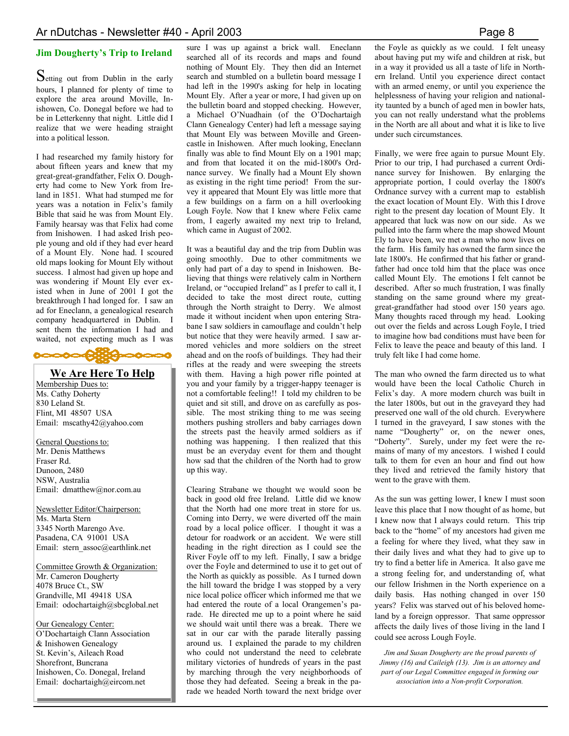Setting out from Dublin in the early hours, I planned for plenty of time to explore the area around Moville, Inishowen, Co. Donegal before we had to be in Letterkenny that night. Little did I realize that we were heading straight into a political lesson.

I had researched my family history for about fifteen years and knew that my great-great-grandfather, Felix O. Dougherty had come to New York from Ireland in 1851. What had stumped me for years was a notation in Felix's family Bible that said he was from Mount Ely. Family hearsay was that Felix had come from Inishowen. I had asked Irish people young and old if they had ever heard of a Mount Ely. None had. I scoured old maps looking for Mount Ely without success. I almost had given up hope and was wondering if Mount Ely ever existed when in June of 2001 I got the breakthrough I had longed for. I saw an ad for Eneclann, a genealogical research company headquartered in Dublin. I sent them the information I had and waited, not expecting much as I was



#### **We Are Here To Help**

Membership Dues to: Ms. Cathy Doherty 830 Leland St. Flint, MI 48507 USA Email: mscathy42@yahoo.com

General Questions to: Mr. Denis Matthews Fraser Rd. Dunoon, 2480 NSW, Australia Email: dmatthew@nor.com.au

Newsletter Editor/Chairperson: Ms. Marta Stern 3345 North Marengo Ave. Pasadena, CA 91001 USA Email: stern\_assoc@earthlink.net

Committee Growth & Organization: Mr. Cameron Dougherty 4078 Bruce Ct., SW Grandville, MI 49418 USA Email: odochartaigh@sbcglobal.net

Our Genealogy Center: O'Dochartaigh Clann Association & Inishowen Genealogy St. Kevin's, Aileach Road Shorefront, Buncrana Inishowen, Co. Donegal, Ireland Email: dochartaigh@eircom.net

**Jim Dougherty's Trip to Ireland** sure I was up against a brick wall. Eneclann searched all of its records and maps and found nothing of Mount Ely. They then did an Internet search and stumbled on a bulletin board message I had left in the 1990's asking for help in locating Mount Ely. After a year or more, I had given up on the bulletin board and stopped checking. However, a Michael O'Nuadhain (of the O'Dochartaigh Clann Genealogy Center) had left a message saying that Mount Ely was between Moville and Greencastle in Inishowen. After much looking, Eneclann finally was able to find Mount Ely on a 1901 map; and from that located it on the mid-1800's Ordnance survey. We finally had a Mount Ely shown as existing in the right time period! From the survey it appeared that Mount Ely was little more that a few buildings on a farm on a hill overlooking Lough Foyle. Now that I knew where Felix came from, I eagerly awaited my next trip to Ireland, which came in August of 2002.

> It was a beautiful day and the trip from Dublin was going smoothly. Due to other commitments we only had part of a day to spend in Inishowen. Believing that things were relatively calm in Northern Ireland, or "occupied Ireland" as I prefer to call it, I decided to take the most direct route, cutting through the North straight to Derry. We almost made it without incident when upon entering Strabane I saw soldiers in camouflage and couldn't help but notice that they were heavily armed. I saw armored vehicles and more soldiers on the street ahead and on the roofs of buildings. They had their rifles at the ready and were sweeping the streets with them. Having a high power rifle pointed at you and your family by a trigger-happy teenager is not a comfortable feeling!! I told my children to be quiet and sit still, and drove on as carefully as possible. The most striking thing to me was seeing mothers pushing strollers and baby carriages down the streets past the heavily armed soldiers as if nothing was happening. I then realized that this must be an everyday event for them and thought how sad that the children of the North had to grow up this way.

> Clearing Strabane we thought we would soon be back in good old free Ireland. Little did we know that the North had one more treat in store for us. Coming into Derry, we were diverted off the main road by a local police officer. I thought it was a detour for roadwork or an accident. We were still heading in the right direction as I could see the River Foyle off to my left. Finally, I saw a bridge over the Foyle and determined to use it to get out of the North as quickly as possible. As I turned down the hill toward the bridge I was stopped by a very nice local police officer which informed me that we had entered the route of a local Orangemen's parade. He directed me up to a point where he said we should wait until there was a break. There we sat in our car with the parade literally passing around us. I explained the parade to my children who could not understand the need to celebrate military victories of hundreds of years in the past by marching through the very neighborhoods of those they had defeated. Seeing a break in the parade we headed North toward the next bridge over

the Foyle as quickly as we could. I felt uneasy about having put my wife and children at risk, but in a way it provided us all a taste of life in Northern Ireland. Until you experience direct contact with an armed enemy, or until you experience the helplessness of having your religion and nationality taunted by a bunch of aged men in bowler hats, you can not really understand what the problems in the North are all about and what it is like to live under such circumstances.

Finally, we were free again to pursue Mount Ely. Prior to our trip, I had purchased a current Ordinance survey for Inishowen. By enlarging the appropriate portion, I could overlay the 1800's Ordnance survey with a current map to establish the exact location of Mount Ely. With this I drove right to the present day location of Mount Ely. It appeared that luck was now on our side. As we pulled into the farm where the map showed Mount Ely to have been, we met a man who now lives on the farm. His family has owned the farm since the late 1800's. He confirmed that his father or grandfather had once told him that the place was once called Mount Ely. The emotions I felt cannot be described. After so much frustration, I was finally standing on the same ground where my greatgreat-grandfather had stood over 150 years ago. Many thoughts raced through my head. Looking out over the fields and across Lough Foyle, I tried to imagine how bad conditions must have been for Felix to leave the peace and beauty of this land. I truly felt like I had come home.

The man who owned the farm directed us to what would have been the local Catholic Church in Felix's day. A more modern church was built in the later 1800s, but out in the graveyard they had preserved one wall of the old church. Everywhere I turned in the graveyard, I saw stones with the name "Dougherty" or, on the newer ones, "Doherty". Surely, under my feet were the remains of many of my ancestors. I wished I could talk to them for even an hour and find out how they lived and retrieved the family history that went to the grave with them.

As the sun was getting lower, I knew I must soon leave this place that I now thought of as home, but I knew now that I always could return. This trip back to the "home" of my ancestors had given me a feeling for where they lived, what they saw in their daily lives and what they had to give up to try to find a better life in America. It also gave me a strong feeling for, and understanding of, what our fellow Irishmen in the North experience on a daily basis. Has nothing changed in over 150 years? Felix was starved out of his beloved homeland by a foreign oppressor. That same oppressor affects the daily lives of those living in the land I could see across Lough Foyle.

*Jim and Susan Dougherty are the proud parents of Jimmy (16) and Caileigh (13). Jim is an attorney and part of our Legal Committee engaged in forming our association into a Non-profit Corporation.*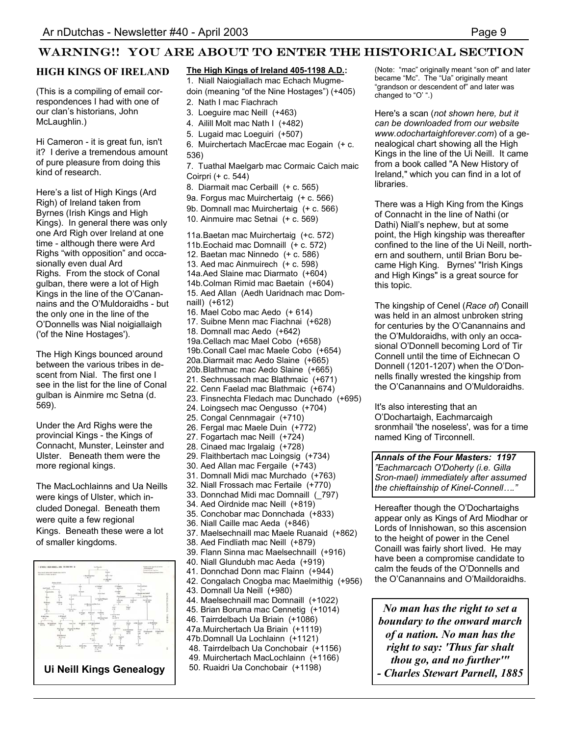## WARNING!! YOU ARE ABOUT TO ENTER THE HISTORICAL SECTION

### **HIGH KINGS OF IRELAND**

(This is a compiling of email correspondences I had with one of our clan's historians, John McLaughlin.)

Hi Cameron - it is great fun, isn't it? I derive a tremendous amount of pure pleasure from doing this kind of research.

Here's a list of High Kings (Ard Righ) of Ireland taken from Byrnes (Irish Kings and High Kings). In general there was only one Ard Righ over Ireland at one time - although there were Ard Righs "with opposition" and occasionally even dual Ard Righs. From the stock of Conal gulban, there were a lot of High Kings in the line of the O'Canannains and the O'Muldoraidhs - but the only one in the line of the O'Donnells was Nial noigiallaigh ('of the Nine Hostages').

The High Kings bounced around between the various tribes in descent from Nial. The first one I see in the list for the line of Conal gulban is Ainmire mc Setna (d. 569).

Under the Ard Righs were the provincial Kings - the Kings of Connacht, Munster, Leinster and Ulster. Beneath them were the more regional kings.

The MacLochlainns and Ua Neills were kings of Ulster, which included Donegal. Beneath them were quite a few regional Kings. Beneath these were a lot of smaller kingdoms.



#### **The High Kings of Ireland 405-1198 A.D.:**

1. Niall Naiogiallach mac Echach Mugmedoin (meaning "of the Nine Hostages") (+405)

- 2. Nath I mac Fiachrach
- 3. Loeguire mac Neill (+463)
- 4. Ailill Molt mac Nath I (+482)
- 5. Lugaid mac Loeguiri (+507)
- 6. Muirchertach MacErcae mac Eogain (+ c. 536)

7. Tuathal Maelgarb mac Cormaic Caich maic Coirpri (+ c. 544)

- 8. Diarmait mac Cerbaill (+ c. 565) 9a. Forgus mac Muirchertaig (+ c. 566)
- 9b. Domnall mac Muirchertaig (+ c. 566)
- 10. Ainmuire mac Setnai (+ c. 569)

11a.Baetan mac Muirchertaig (+c. 572) 11b.Eochaid mac Domnaill (+ c. 572) 12. Baetan mac Ninnedo (+ c. 586) 13. Aed mac Ainmuirech (+ c. 598) 14a.Aed Slaine mac Diarmato (+604) 14b.Colman Rimid mac Baetain (+604) 15. Aed Allan (Aedh Uaridnach mac Domnaill) (+612) 16. Mael Cobo mac Aedo (+ 614) 17. Suibne Menn mac Fiachnai (+628) 18. Domnall mac Aedo (+642) 19a.Cellach mac Mael Cobo (+658) 19b.Conall Cael mac Maele Cobo (+654) 20a.Diarmait mac Aedo Slaine (+665) 20b.Blathmac mac Aedo Slaine (+665) 21. Sechnussach mac Blathmaic (+671) 22. Cenn Faelad mac Blathmaic (+674) 23. Finsnechta Fledach mac Dunchado (+695) 24. Loingsech mac Oengusso (+704) 25. Congal Cennmagair (+710) 26. Fergal mac Maele Duin (+772) 27. Fogartach mac Neill (+724) 28. Cinaed mac Irgalaig (+728) 29. Flaithbertach mac Loingsig (+734) 30. Aed Allan mac Fergaile (+743) 31. Domnall Midi mac Murchado (+763) 32. Niall Frossach mac Fertaile (+770) 33. Donnchad Midi mac Domnaill (\_797) 34. Aed Oirdnide mac Neill (+819) 35. Conchobar mac Donnchada (+833) 36. Niall Caille mac Aeda (+846) 37. Maelsechnaill mac Maele Ruanaid (+862) 38. Aed Findliath mac Neill (+879) 39. Flann Sinna mac Maelsechnaill (+916) 40. Niall Glundubh mac Aeda (+919) 41. Donnchad Donn mac Flainn (+944) 42. Congalach Cnogba mac Maelmithig (+956) 43. Domnall Ua Neill (+980) 44. Maelsechnaill mac Domnaill (+1022) 45. Brian Boruma mac Cennetig (+1014) 46. Tairrdelbach Ua Briain (+1086) 47a.Muirchertach Ua Briain (+1119) 47b.Domnall Ua Lochlainn (+1121) 48. Tairrdelbach Ua Conchobair (+1156) 49. Muirchertach MacLochlainn (+1166) 50. Ruaidri Ua Conchobair (+1198)

(Note: "mac" originally meant "son of" and later became "Mc". The "Ua" originally meant "grandson or descendent of" and later was changed to "O' ".)

Here's a scan (*not shown here, but it can be downloaded from our website www.odochartaighforever.com*) of a genealogical chart showing all the High Kings in the line of the Ui Neill. It came from a book called "A New History of Ireland," which you can find in a lot of libraries.

There was a High King from the Kings of Connacht in the line of Nathi (or Dathi) Niall's nephew, but at some point, the High kingship was thereafter confined to the line of the Ui Neill, northern and southern, until Brian Boru became High King. Byrnes' "Irish Kings and High Kings" is a great source for this topic.

The kingship of Cenel (*Race of*) Conaill was held in an almost unbroken string for centuries by the O'Canannains and the O'Muldoraidhs, with only an occasional O'Donnell becoming Lord of Tir Connell until the time of Eichnecan O Donnell (1201-1207) when the O'Donnells finally wrested the kingship from the O'Canannains and O'Muldoraidhs.

It's also interesting that an O'Dochartaigh, Eachmarcaigh sronmhail 'the noseless', was for a time named King of Tirconnell.

*Annals of the Four Masters: 1197 "Eachmarcach O'Doherty (i.e. Gilla Sron-mael) immediately after assumed the chieftainship of Kinel-Connell…."*

Hereafter though the O'Dochartaighs appear only as Kings of Ard Miodhar or Lords of Innishowan, so this ascension to the height of power in the Cenel Conaill was fairly short lived. He may have been a compromise candidate to calm the feuds of the O'Donnells and the O'Canannains and O'Maildoraidhs.

*No man has the right to set a boundary to the onward march of a nation. No man has the right to say: 'Thus far shalt thou go, and no further'" - Charles Stewart Parnell, 1885*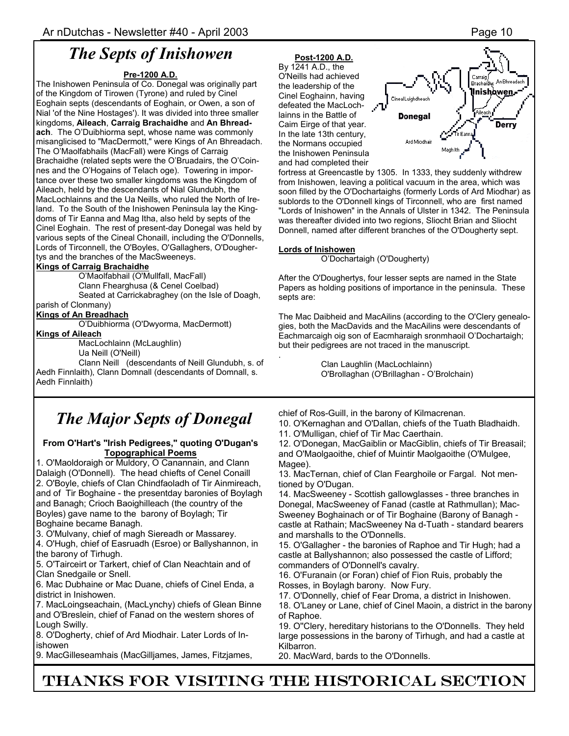# *The Septs of Inishowen*

#### **Pre-1200 A.D.**

The Inishowen Peninsula of Co. Donegal was originally part of the Kingdom of Tirowen (Tyrone) and ruled by Cinel Eoghain septs (descendants of Eoghain, or Owen, a son of Nial 'of the Nine Hostages'). It was divided into three smaller kingdoms, **Aileach**, **Carraig Brachaidhe** and **An Bhreadach**. The O'Duibhiorma sept, whose name was commonly misanglicised to "MacDermott," were Kings of An Bhreadach. The O'Maolfabhails (MacFall) were Kings of Carraig Brachaidhe (related septs were the O'Bruadairs, the O'Coinnes and the O'Hogains of Telach oge). Towering in importance over these two smaller kingdoms was the Kingdom of Aileach, held by the descendants of Nial Glundubh, the MacLochlainns and the Ua Neills, who ruled the North of Ireland. To the South of the Inishowen Peninsula lay the Kingdoms of Tir Eanna and Mag Itha, also held by septs of the Cinel Eoghain. The rest of present-day Donegal was held by various septs of the Cineal Chonaill, including the O'Donnells, Lords of Tirconnell, the O'Boyles, O'Gallaghers, O'Doughertys and the branches of the MacSweeneys.

#### **Kings of Carraig Brachaidhe**

O'Maolfabhail (O'Mullfall, MacFall)

Clann Fhearghusa (& Cenel Coelbad)

 Seated at Carrickabraghey (on the Isle of Doagh, parish of Clonmany)

### **Kings of An Breadhach**

O'Duibhiorma (O'Dwyorma, MacDermott)

#### **Kings of Aileach**

MacLochlainn (McLaughlin)

Ua Neill (O'Neill)

 Clann Neill (descendants of Neill Glundubh, s. of Aedh Finnlaith), Clann Domnall (descendants of Domnall, s. Aedh Finnlaith)

# *The Major Septs of Donegal*

#### **From O'Hart's "Irish Pedigrees," quoting O'Dugan's Topographical Poems**

1. O'Maoldoraigh or Muldory, O Canannain, and Clann Dalaigh (O'Donnell). The head chiefts of Cenel Conaill 2. O'Boyle, chiefs of Clan Chindfaoladh of Tir Ainmireach, and of Tir Boghaine - the presentday baronies of Boylagh and Banagh; Crioch Baoighilleach (the country of the Boyles) gave name to the barony of Boylagh; Tir Boghaine became Banagh.

3. O'Mulvany, chief of magh Siereadh or Massarey.

4. O'Hugh, chief of Easruadh (Esroe) or Ballyshannon, in the barony of Tirhugh.

5. O'Tairceirt or Tarkert, chief of Clan Neachtain and of Clan Snedgaile or Snell.

6. Mac Dubhaine or Mac Duane, chiefs of Cinel Enda, a district in Inishowen.

7. MacLoingseachain, (MacLynchy) chiefs of Glean Binne and O'Breslein, chief of Fanad on the western shores of Lough Swilly.

8. O'Dogherty, chief of Ard Miodhair. Later Lords of Inishowen

9. MacGilleseamhais (MacGilljames, James, Fitzjames,

### **Post-1200 A.D.**

By  $1\overline{241}$  A.D., the O'Neills had achieved the leadership of the Cinel Eoghainn, having defeated the MacLochlainns in the Battle of Caim Eirge of that year. In the late 13th century, the Normans occupied the Inishowen Peninsula and had completed their



fortress at Greencastle by 1305. In 1333, they suddenly withdrew from Inishowen, leaving a political vacuum in the area, which was soon filled by the O'Dochartaighs (formerly Lords of Ard Miodhar) as sublords to the O'Donnell kings of Tirconnell, who are first named "Lords of Inishowen" in the Annals of Ulster in 1342. The Peninsula was thereafter divided into two regions, Sliocht Brian and Sliocht Donnell, named after different branches of the O'Dougherty sept.

#### **Lords of Inishowen**

.

O'Dochartaigh (O'Dougherty)

After the O'Doughertys, four lesser septs are named in the State Papers as holding positions of importance in the peninsula. These septs are:

The Mac Daibheid and MacAilins (according to the O'Clery genealogies, both the MacDavids and the MacAilins were descendants of Eachmarcaigh oig son of Eacmharaigh sronmhaoil O'Dochartaigh; but their pedigrees are not traced in the manuscript.

> Clan Laughlin (MacLochlainn) O'Brollaghan (O'Brillaghan - O'Brolchain)

chief of Ros-Guill, in the barony of Kilmacrenan.

10. O'Kernaghan and O'Dallan, chiefs of the Tuath Bladhaidh.

11. O'Mulligan, chief of Tir Mac Caerthain.

12. O'Donegan, MacGaiblin or MacGiblin, chiefs of Tir Breasail; and O'Maolgaoithe, chief of Muintir Maolgaoithe (O'Mulgee, Magee).

13. MacTernan, chief of Clan Fearghoile or Fargal. Not mentioned by O'Dugan.

14. MacSweeney - Scottish gallowglasses - three branches in Donegal, MacSweeney of Fanad (castle at Rathmullan); Mac-Sweeney Boghainach or of Tir Boghaine (Barony of Banagh castle at Rathain; MacSweeney Na d-Tuath - standard bearers and marshalls to the O'Donnells.

15. O'Gallagher - the baronies of Raphoe and Tir Hugh; had a castle at Ballyshannon; also possessed the castle of Lifford; commanders of O'Donnell's cavalry.

16. O'Furanain (or Foran) chief of Fion Ruis, probably the Rosses, in Boylagh barony. Now Fury.

17. O'Donnelly, chief of Fear Droma, a district in Inishowen. 18. O'Laney or Lane, chief of Cinel Maoin, a district in the barony

of Raphoe. 19. O''Clery, hereditary historians to the O'Donnells. They held large possessions in the barony of Tirhugh, and had a castle at Kilbarron.

20. MacWard, bards to the O'Donnells.

# THANKS FOR VISITING THE HISTORICAL SECTION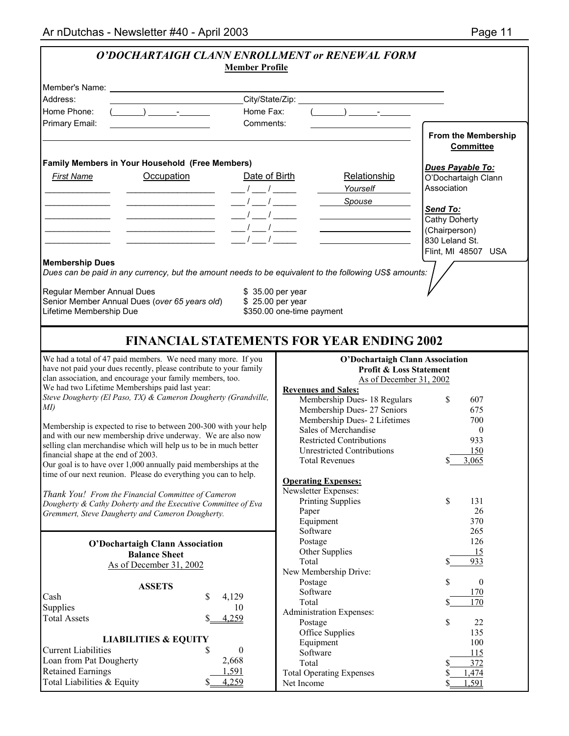| O'DOCHARTAIGH CLANN ENROLLMENT or RENEWAL FORM<br><b>Member Profile</b>                                                                                                                                                                                                                                                                                                                                                                                                                                                                         |                                                                   |
|-------------------------------------------------------------------------------------------------------------------------------------------------------------------------------------------------------------------------------------------------------------------------------------------------------------------------------------------------------------------------------------------------------------------------------------------------------------------------------------------------------------------------------------------------|-------------------------------------------------------------------|
|                                                                                                                                                                                                                                                                                                                                                                                                                                                                                                                                                 |                                                                   |
|                                                                                                                                                                                                                                                                                                                                                                                                                                                                                                                                                 |                                                                   |
| Address:<br><u> 1989 - Johann Barbara, martxa a</u>                                                                                                                                                                                                                                                                                                                                                                                                                                                                                             |                                                                   |
| Home Phone:<br>Home Fax:                                                                                                                                                                                                                                                                                                                                                                                                                                                                                                                        | $(\_\_)$ $\_\_$                                                   |
| Primary Email:<br>Comments:<br><u> 1980 - Johann Barbara, martxa alemaniar a</u>                                                                                                                                                                                                                                                                                                                                                                                                                                                                | <b>From the Membership</b><br><b>Committee</b>                    |
| Family Members in Your Household (Free Members)                                                                                                                                                                                                                                                                                                                                                                                                                                                                                                 |                                                                   |
| Occupation<br>Date of Birth<br><b>First Name</b>                                                                                                                                                                                                                                                                                                                                                                                                                                                                                                | Dues Payable To:<br>Relationship<br>O'Dochartaigh Clann           |
| <u> 1980 - John Stone, amerikansk politiker (</u>                                                                                                                                                                                                                                                                                                                                                                                                                                                                                               | Association<br>Yourself                                           |
| $\frac{1}{1-\frac{1}{1-\frac{1}{1-\frac{1}{1-\frac{1}{1-\frac{1}{1-\frac{1}{1-\frac{1}{1-\frac{1}{1-\frac{1}{1-\frac{1}{1-\frac{1}{1-\frac{1}{1-\frac{1}{1-\frac{1}{1-\frac{1}{1-\frac{1}{1-\frac{1}{1-\frac{1}{1-\frac{1}{1-\frac{1}{1-\frac{1}{1-\frac{1}{1-\frac{1}{1-\frac{1}{1-\frac{1}{1-\frac{1}{1-\frac{1}{1-\frac{1}{1-\frac{1}{1-\frac{1}{1-\frac{1}{1-\frac{1}{1-\frac{1}{1-\frac{1}{1-\frac{1}{1-\frac{1$                                                                                                                           | <b>Spouse</b>                                                     |
|                                                                                                                                                                                                                                                                                                                                                                                                                                                                                                                                                 | Send To:                                                          |
| $\frac{1}{1-\frac{1}{1-\frac{1}{1-\frac{1}{1-\frac{1}{1-\frac{1}{1-\frac{1}{1-\frac{1}{1-\frac{1}{1-\frac{1}{1-\frac{1}{1-\frac{1}{1-\frac{1}{1-\frac{1}{1-\frac{1}{1-\frac{1}{1-\frac{1}{1-\frac{1}{1-\frac{1}{1-\frac{1}{1-\frac{1}{1-\frac{1}{1-\frac{1}{1-\frac{1}{1-\frac{1}{1-\frac{1}{1-\frac{1}{1-\frac{1}{1-\frac{1}{1-\frac{1}{1-\frac{1}{1-\frac{1}{1-\frac{1}{1-\frac{1}{1-\frac{1}{1-\frac{1}{1-\frac{1$<br><u> Alexandro Alexandro Alexandro Alexandro Alexandro Alexandro Alexandro Alexandro Alexandro Alexandro Alexandro </u> | Cathy Doherty                                                     |
| $\frac{1}{1-\frac{1}{1-\frac{1}{1-\frac{1}{1-\frac{1}{1-\frac{1}{1-\frac{1}{1-\frac{1}{1-\frac{1}{1-\frac{1}{1-\frac{1}{1-\frac{1}{1-\frac{1}{1-\frac{1}{1-\frac{1}{1-\frac{1}{1-\frac{1}{1-\frac{1}{1-\frac{1}{1-\frac{1}{1-\frac{1}{1-\frac{1}{1-\frac{1}{1-\frac{1}{1-\frac{1}{1-\frac{1}{1-\frac{1}{1-\frac{1}{1-\frac{1}{1-\frac{1}{1-\frac{1}{1-\frac{1}{1-\frac{1}{1-\frac{1}{1-\frac{1}{1-\frac{1}{1-\frac{1$<br>$\frac{1}{2}$                                                                                                          | (Chairperson)                                                     |
|                                                                                                                                                                                                                                                                                                                                                                                                                                                                                                                                                 | 830 Leland St.                                                    |
|                                                                                                                                                                                                                                                                                                                                                                                                                                                                                                                                                 | Flint, MI 48507 USA                                               |
| <b>Membership Dues</b><br>Dues can be paid in any currency, but the amount needs to be equivalent to the following US\$ amounts:                                                                                                                                                                                                                                                                                                                                                                                                                |                                                                   |
|                                                                                                                                                                                                                                                                                                                                                                                                                                                                                                                                                 |                                                                   |
| Regular Member Annual Dues<br>\$ 35.00 per year                                                                                                                                                                                                                                                                                                                                                                                                                                                                                                 |                                                                   |
| Senior Member Annual Dues (over 65 years old)<br>\$25.00 per year                                                                                                                                                                                                                                                                                                                                                                                                                                                                               |                                                                   |
| Lifetime Membership Due<br>\$350.00 one-time payment                                                                                                                                                                                                                                                                                                                                                                                                                                                                                            |                                                                   |
|                                                                                                                                                                                                                                                                                                                                                                                                                                                                                                                                                 |                                                                   |
| <b>FINANCIAL STATEMENTS FOR YEAR ENDING 2002</b>                                                                                                                                                                                                                                                                                                                                                                                                                                                                                                |                                                                   |
| We had a total of 47 paid members. We need many more. If you                                                                                                                                                                                                                                                                                                                                                                                                                                                                                    |                                                                   |
| have not paid your dues recently, please contribute to your family                                                                                                                                                                                                                                                                                                                                                                                                                                                                              | <b>O'Dochartaigh Clann Association</b><br>Profit & Loss Statement |
| clan association, and encourage your family members, too.                                                                                                                                                                                                                                                                                                                                                                                                                                                                                       | As of December 31, 2002                                           |
| We had two Lifetime Memberships paid last year:                                                                                                                                                                                                                                                                                                                                                                                                                                                                                                 | <b>Revenues and Sales:</b>                                        |
| Steve Dougherty (El Paso, TX) & Cameron Dougherty (Grandville,                                                                                                                                                                                                                                                                                                                                                                                                                                                                                  | Membership Dues- 18 Regulars<br>\$<br>607                         |
| MI)                                                                                                                                                                                                                                                                                                                                                                                                                                                                                                                                             | Membership Dues-27 Seniors<br>675                                 |
| Membership is expected to rise to between 200-300 with your help                                                                                                                                                                                                                                                                                                                                                                                                                                                                                | Membership Dues- 2 Lifetimes<br>700<br>Sales of Merchandise       |
| and with our new membership drive underway. We are also now                                                                                                                                                                                                                                                                                                                                                                                                                                                                                     | $\mathbf{0}$<br><b>Restricted Contributions</b><br>933            |
| selling clan merchandise which will help us to be in much better                                                                                                                                                                                                                                                                                                                                                                                                                                                                                | <b>Unrestricted Contributions</b><br>150                          |
| financial shape at the end of 2003.<br>Our goal is to have over 1,000 annually paid memberships at the                                                                                                                                                                                                                                                                                                                                                                                                                                          | \$3,065<br><b>Total Revenues</b>                                  |
| time of our next reunion. Please do everything you can to help.                                                                                                                                                                                                                                                                                                                                                                                                                                                                                 |                                                                   |
|                                                                                                                                                                                                                                                                                                                                                                                                                                                                                                                                                 | <b>Operating Expenses:</b>                                        |
| Thank You! From the Financial Committee of Cameron                                                                                                                                                                                                                                                                                                                                                                                                                                                                                              | Newsletter Expenses:<br>$\mathbb{S}$                              |
| Dougherty & Cathy Doherty and the Executive Committee of Eva                                                                                                                                                                                                                                                                                                                                                                                                                                                                                    | <b>Printing Supplies</b><br>131<br>26<br>Paper                    |
| Gremmert, Steve Daugherty and Cameron Dougherty.                                                                                                                                                                                                                                                                                                                                                                                                                                                                                                | 370<br>Equipment                                                  |
|                                                                                                                                                                                                                                                                                                                                                                                                                                                                                                                                                 | Software<br>265                                                   |
| <b>O'Dochartaigh Clann Association</b>                                                                                                                                                                                                                                                                                                                                                                                                                                                                                                          | Postage<br>126                                                    |
| <b>Balance Sheet</b>                                                                                                                                                                                                                                                                                                                                                                                                                                                                                                                            | Other Supplies<br>15                                              |
| As of December 31, 2002                                                                                                                                                                                                                                                                                                                                                                                                                                                                                                                         | 933<br>Total                                                      |
|                                                                                                                                                                                                                                                                                                                                                                                                                                                                                                                                                 | New Membership Drive:<br>\$<br>$\boldsymbol{0}$<br>Postage        |
| <b>ASSETS</b>                                                                                                                                                                                                                                                                                                                                                                                                                                                                                                                                   | Software<br>170                                                   |
| Cash<br>\$<br>4,129                                                                                                                                                                                                                                                                                                                                                                                                                                                                                                                             | 170<br>Total<br>S                                                 |
| Supplies<br>10                                                                                                                                                                                                                                                                                                                                                                                                                                                                                                                                  | Administration Expenses:                                          |
| <b>Total Assets</b><br>4,259                                                                                                                                                                                                                                                                                                                                                                                                                                                                                                                    | \$<br>22<br>Postage                                               |
| <b>LIABILITIES &amp; EQUITY</b>                                                                                                                                                                                                                                                                                                                                                                                                                                                                                                                 | Office Supplies<br>135                                            |
| <b>Current Liabilities</b><br>\$<br>$\boldsymbol{0}$                                                                                                                                                                                                                                                                                                                                                                                                                                                                                            | Equipment<br>100<br>Software                                      |
| Loan from Pat Dougherty<br>2,668                                                                                                                                                                                                                                                                                                                                                                                                                                                                                                                | 115<br>Total<br>372<br>S                                          |
| 1,591<br><b>Retained Earnings</b>                                                                                                                                                                                                                                                                                                                                                                                                                                                                                                               | <b>Total Operating Expenses</b><br>,474                           |
| Total Liabilities & Equity<br>4,259                                                                                                                                                                                                                                                                                                                                                                                                                                                                                                             | ,591<br>Net Income                                                |